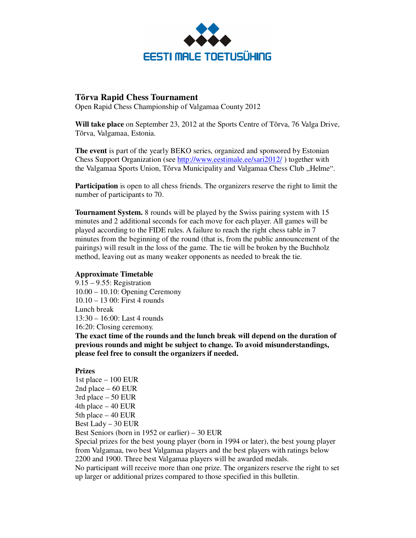

## **Tõrva Rapid Chess Tournament**

Open Rapid Chess Championship of Valgamaa County 2012

**Will take place** on September 23, 2012 at the Sports Centre of Tõrva, 76 Valga Drive, Tõrva, Valgamaa, Estonia.

**The event** is part of the yearly BEKO series, organized and sponsored by Estonian Chess Support Organization (see http://www.eestimale.ee/sari2012/ ) together with the Valgamaa Sports Union, Tõrva Municipality and Valgamaa Chess Club "Helme".

**Participation** is open to all chess friends. The organizers reserve the right to limit the number of participants to 70.

**Tournament System.** 8 rounds will be played by the Swiss pairing system with 15 minutes and 2 additional seconds for each move for each player. All games will be played according to the FIDE rules. A failure to reach the right chess table in 7 minutes from the beginning of the round (that is, from the public announcement of the pairings) will result in the loss of the game. The tie will be broken by the Buchholz method, leaving out as many weaker opponents as needed to break the tie.

## **Approximate Timetable**

9.15 – 9.55: Registration 10.00 – 10.10: Opening Ceremony 10.10 – 13 00: First 4 rounds Lunch break 13:30 – 16:00: Last 4 rounds 16:20: Closing ceremony.

**The exact time of the rounds and the lunch break will depend on the duration of previous rounds and might be subject to change. To avoid misunderstandings, please feel free to consult the organizers if needed.** 

## **Prizes**

1st place – 100 EUR 2nd place – 60 EUR 3rd place – 50 EUR 4th place – 40 EUR 5th place – 40 EUR Best Lady – 30 EUR Best Seniors (born in 1952 or earlier) – 30 EUR Special prizes for the best young player (born in 1994 or later), the best young player from Valgamaa, two best Valgamaa players and the best players with ratings below 2200 and 1900. Three best Valgamaa players will be awarded medals. No participant will receive more than one prize. The organizers reserve the right to set up larger or additional prizes compared to those specified in this bulletin.